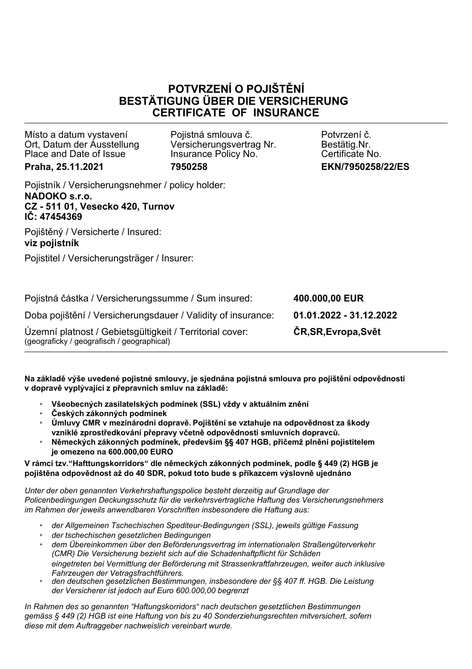## **POTVRZENÍ O POJIŠTĚNÍ BESTÄTIGUNG ÜBER DIE VERSICHERUNG CERTIFICATE OF INSURANCE**

Místo a datum vystavení Ort, Datum der Ausstellung Place and Date of Issue **Praha, 25.11.2021**

Pojistná smlouva č. Versicherungsvertrag Nr. Insurance Policy No. **7950258**

Potvrzení č. Bestätig.Nr. Certificate No. **EKN/7950258/22/ES**

Pojistník / Versicherungsnehmer / policy holder: **NADOKO s.r.o. CZ - 511 01, Vesecko 420, Turnov IČ: 47454369**

Pojištěný / Versicherte / Insured: **viz pojistník**

Pojistitel / Versicherungsträger / Insurer:

Pojistná částka / Versicherungssumme / Sum insured: **400.000,00 EUR** Doba pojištění / Versicherungsdauer / Validity of insurance: **01.01.2022 - 31.12.2022** Územní platnost / Gebietsgültigkeit / Territorial cover: **ČR,SR,Evropa,Svět** (geograficky / geografisch / geographical)

**Na základě výše uvedené pojistné smlouvy, je sjednána pojistná smlouva pro pojištění odpovědnosti v dopravě vyplývající z přepravních smluv na základě:**

- **• Všeobecných zasilatelských podmínek (SSL) vždy v aktuálním znění**
- **• Českých zákonných podmínek**
- **• Úmluvy CMR v mezinárodní dopravě. Pojištění se vztahuje na odpovědnost za škody vzniklé zprostředkování přepravy včetně odpovědnosti smluvních dopravců.**
- **• Německých zákonných podmínek, především §§ 407 HGB, přičemž plnění pojistitelem je omezeno na 600.000,00 EURO**

## **V rámci tzv."Hafttungskorridors" dle německých zákonných podmínek, podle § 449 (2) HGB je pojištěna odpovědnost až do 40 SDR, pokud toto bude s příkazcem výslovně ujednáno**

*Unter der oben genannten Verkehrshaftungspolice besteht derzeitig auf Grundlage der Policenbedingungen Deckungsschutz für die verkehrsvertragliche Haftung des Versicherungsnehmers im Rahmen der jeweils anwendbaren Vorschriften insbesondere die Haftung aus:*

- **•** *der Allgemeinen Tschechischen Spediteur-Bedingungen (SSL), jeweils gültige Fassung*
- **•** *der tschechischen gesetzlichen Bedingungen*
- **•** *dem Übereinkommen über den Beförderungsvertrag im internationalen Straßengüterverkehr (CMR) Die Versicherung bezieht sich auf die Schadenhaftpflicht für Schäden eingetreten bei Vermittlung der Beförderung mit Strassenkraftfahrzeugen, weiter auch inklusive Fahrzeugen der Vetragsfrachtführers.*
- **•** *den deutschen gesetzlichen Bestimmungen, insbesondere der §§ 407 ff. HGB. Die Leistung der Versicherer ist jedoch auf Euro 600.000,00 begrenzt*

*In Rahmen des so genannten "Haftungskorridors" nach deutschen gesetztlichen Bestimmungen gemäss § 449 (2) HGB ist eine Haftung von bis zu 40 Sonderziehungsrechten mitversichert, sofern diese mit dem Auftraggeber nachweislich vereinbart wurde.*